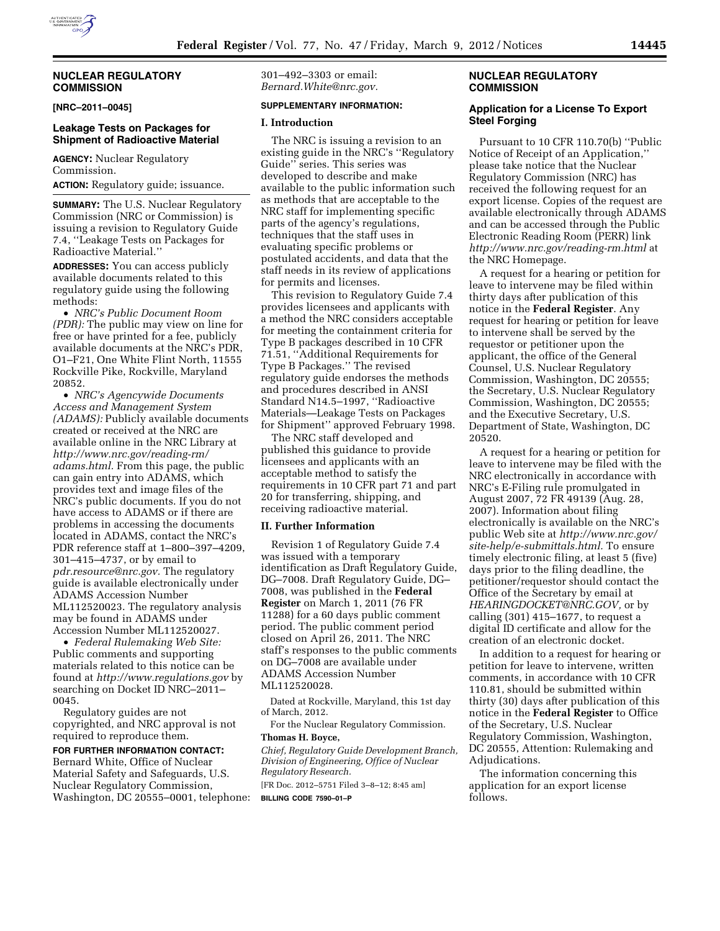### **NUCLEAR REGULATORY COMMISSION**

**[NRC–2011–0045]** 

# **Leakage Tests on Packages for Shipment of Radioactive Material**

**AGENCY:** Nuclear Regulatory Commission.

**ACTION:** Regulatory guide; issuance.

**SUMMARY:** The U.S. Nuclear Regulatory Commission (NRC or Commission) is issuing a revision to Regulatory Guide 7.4, ''Leakage Tests on Packages for Radioactive Material.''

**ADDRESSES:** You can access publicly available documents related to this regulatory guide using the following methods:

• *NRC's Public Document Room (PDR):* The public may view on line for free or have printed for a fee, publicly available documents at the NRC's PDR, O1–F21, One White Flint North, 11555 Rockville Pike, Rockville, Maryland 20852.

• *NRC's Agencywide Documents Access and Management System (ADAMS):* Publicly available documents created or received at the NRC are available online in the NRC Library at *[http://www.nrc.gov/reading-rm/](http://www.nrc.gov/reading-rm/adams.html)  [adams.html.](http://www.nrc.gov/reading-rm/adams.html)* From this page, the public can gain entry into ADAMS, which provides text and image files of the NRC's public documents. If you do not have access to ADAMS or if there are problems in accessing the documents located in ADAMS, contact the NRC's PDR reference staff at 1–800–397–4209, 301–415–4737, or by email to *[pdr.resource@nrc.gov.](mailto:pdr.resource@nrc.gov)* The regulatory guide is available electronically under ADAMS Accession Number ML112520023. The regulatory analysis may be found in ADAMS under Accession Number ML112520027.

• *Federal Rulemaking Web Site:*  Public comments and supporting materials related to this notice can be found at *<http://www.regulations.gov>* by searching on Docket ID NRC–2011– 0045.

Regulatory guides are not copyrighted, and NRC approval is not required to reproduce them.

**FOR FURTHER INFORMATION CONTACT:** 

Bernard White, Office of Nuclear Material Safety and Safeguards, U.S. Nuclear Regulatory Commission, Washington, DC 20555–0001, telephone: 301–492–3303 or email: *[Bernard.White@nrc.gov.](mailto:Bernard.White@nrc.gov)* 

#### **SUPPLEMENTARY INFORMATION:**

#### **I. Introduction**

The NRC is issuing a revision to an existing guide in the NRC's ''Regulatory Guide'' series. This series was developed to describe and make available to the public information such as methods that are acceptable to the NRC staff for implementing specific parts of the agency's regulations, techniques that the staff uses in evaluating specific problems or postulated accidents, and data that the staff needs in its review of applications for permits and licenses.

This revision to Regulatory Guide 7.4 provides licensees and applicants with a method the NRC considers acceptable for meeting the containment criteria for Type B packages described in 10 CFR 71.51, ''Additional Requirements for Type B Packages.'' The revised regulatory guide endorses the methods and procedures described in ANSI Standard N14.5–1997, ''Radioactive Materials—Leakage Tests on Packages for Shipment'' approved February 1998.

The NRC staff developed and published this guidance to provide licensees and applicants with an acceptable method to satisfy the requirements in 10 CFR part 71 and part 20 for transferring, shipping, and receiving radioactive material.

#### **II. Further Information**

Revision 1 of Regulatory Guide 7.4 was issued with a temporary identification as Draft Regulatory Guide, DG–7008. Draft Regulatory Guide, DG– 7008, was published in the **Federal Register** on March 1, 2011 (76 FR 11288) for a 60 days public comment period. The public comment period closed on April 26, 2011. The NRC staff's responses to the public comments on DG–7008 are available under ADAMS Accession Number ML112520028.

Dated at Rockville, Maryland, this 1st day of March, 2012.

For the Nuclear Regulatory Commission. **Thomas H. Boyce,** 

*Chief, Regulatory Guide Development Branch, Division of Engineering, Office of Nuclear Regulatory Research.* 

[FR Doc. 2012–5751 Filed 3–8–12; 8:45 am] **BILLING CODE 7590–01–P** 

## **NUCLEAR REGULATORY COMMISSION**

## **Application for a License To Export Steel Forging**

Pursuant to 10 CFR 110.70(b) ''Public Notice of Receipt of an Application,'' please take notice that the Nuclear Regulatory Commission (NRC) has received the following request for an export license. Copies of the request are available electronically through ADAMS and can be accessed through the Public Electronic Reading Room (PERR) link *<http://www.nrc.gov/reading-rm.html>*at the NRC Homepage.

A request for a hearing or petition for leave to intervene may be filed within thirty days after publication of this notice in the **Federal Register**. Any request for hearing or petition for leave to intervene shall be served by the requestor or petitioner upon the applicant, the office of the General Counsel, U.S. Nuclear Regulatory Commission, Washington, DC 20555; the Secretary, U.S. Nuclear Regulatory Commission, Washington, DC 20555; and the Executive Secretary, U.S. Department of State, Washington, DC 20520.

A request for a hearing or petition for leave to intervene may be filed with the NRC electronically in accordance with NRC's E-Filing rule promulgated in August 2007, 72 FR 49139 (Aug. 28, 2007). Information about filing electronically is available on the NRC's public Web site at *[http://www.nrc.gov/](http://www.nrc.gov/site-help/e-submittals.html) [site-help/e-submittals.html.](http://www.nrc.gov/site-help/e-submittals.html)* To ensure timely electronic filing, at least 5 (five) days prior to the filing deadline, the petitioner/requestor should contact the Office of the Secretary by email at *[HEARINGDOCKET@NRC.GOV,](mailto:HEARINGDOCKET@NRC.GOV)* or by calling (301) 415–1677, to request a digital ID certificate and allow for the creation of an electronic docket.

In addition to a request for hearing or petition for leave to intervene, written comments, in accordance with 10 CFR 110.81, should be submitted within thirty (30) days after publication of this notice in the **Federal Register** to Office of the Secretary, U.S. Nuclear Regulatory Commission, Washington, DC 20555, Attention: Rulemaking and Adjudications.

The information concerning this application for an export license follows.